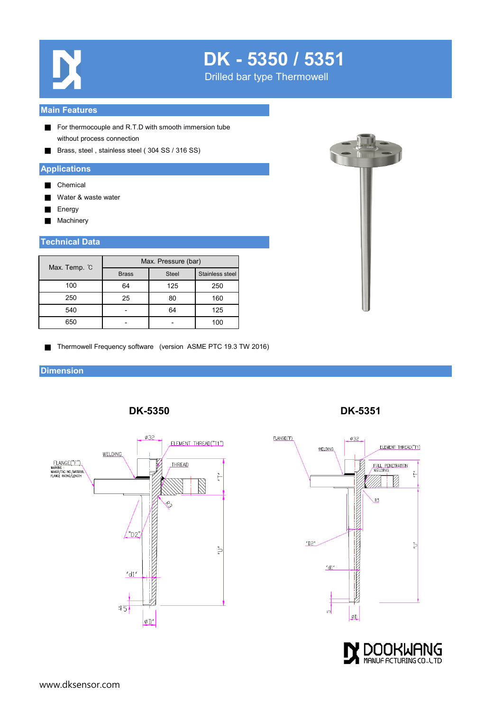

## **DK - 5350 / 5351**

Drilled bar type Thermowell

#### **Main Features**

- For thermocouple and R.T.D with smooth immersion tube without process connection
- Brass, steel, stainless steel (304 SS / 316 SS)

#### **Applications**

- Chemical
- Water & waste water
- **Energy**
- Machinery

#### **Technical Data**

| Max. Temp. °C | Max. Pressure (bar) |              |                 |
|---------------|---------------------|--------------|-----------------|
|               | <b>Brass</b>        | <b>Steel</b> | Stainless steel |
| 100           | 64                  | 125          | 250             |
| 250           | 25                  | 80           | 160             |
| 540           |                     | 64           | 125             |
| 650           |                     |              | 100             |



■ Thermowell Frequency software (version ASME PTC 19.3 TW 2016)

**DK-5350**

#### **Dimension**



**DK-5351**